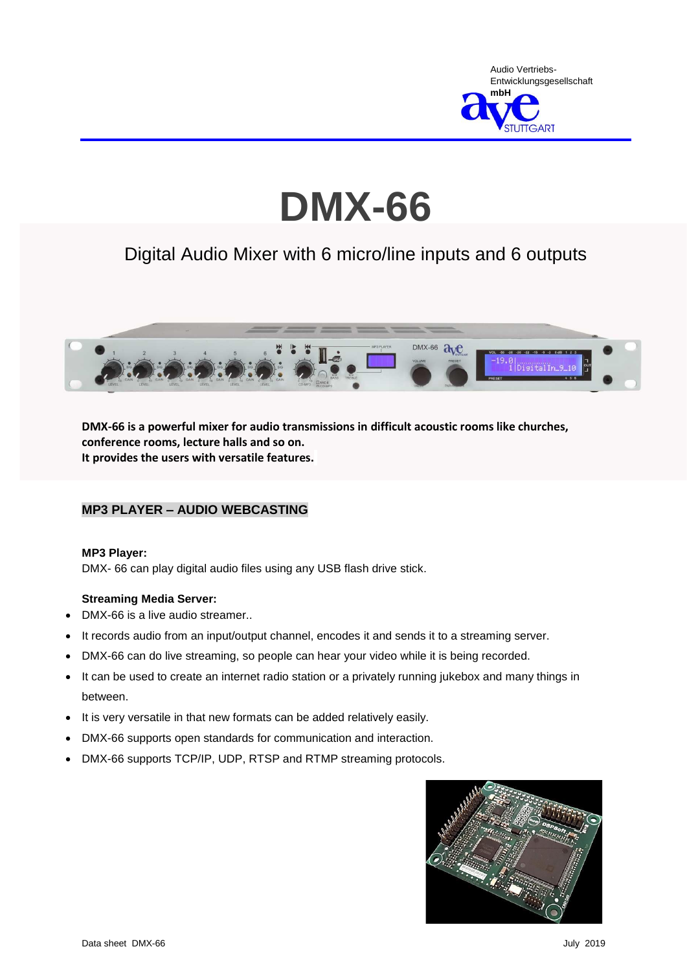

# **DMX-66**

# Digital Audio Mixer with 6 micro/line inputs and 6 outputs



**DMX-66 is a powerful mixer for audio transmissions in difficult acoustic rooms like churches, conference rooms, lecture halls and so on. It provides the users with versatile features.**

### **MP3 PLAYER – AUDIO WEBCASTING**

#### **MP3 Player:**

DMX- 66 can play digital audio files using any USB flash drive stick.

#### **Streaming Media Server:**

- DMX-66 is a live audio streamer..
- It records audio from an input/output channel, encodes it and sends it to a streaming server.
- DMX-66 can do live streaming, so people can hear your video while it is being recorded.
- It can be used to create an internet radio station or a privately running jukebox and many things in between.
- It is very versatile in that new formats can be added relatively easily.
- DMX-66 supports open standards for communication and interaction.
- DMX-66 supports TCP/IP, UDP, RTSP and RTMP streaming protocols.

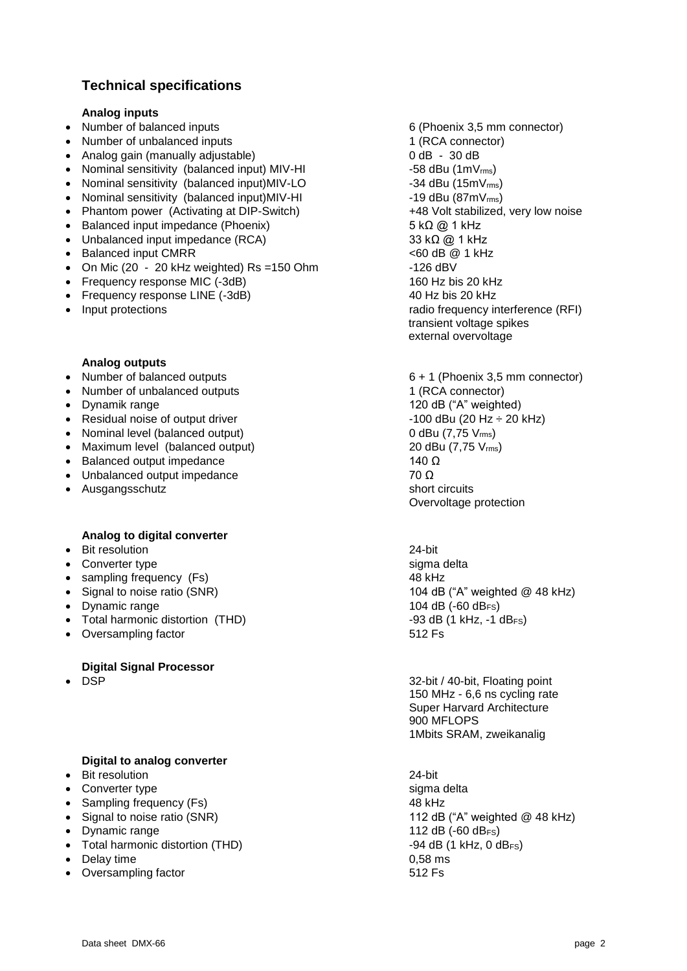## **Technical specifications**

#### **Analog inputs**

- Number of balanced inputs 6 (Phoenix 3,5 mm connector)
- Number of unbalanced inputs 1 (RCA connector)
- Analog gain (manually adjustable)  $0$  dB 30 dB
- Nominal sensitivity (balanced input) MIV-HI  $-58$  dBu (1mV<sub>rms</sub>)
- Nominal sensitivity (balanced input)MIV-LO  $-34$  dBu (15mV<sub>rms</sub>)
- Nominal sensitivity (balanced input)MIV-HI  $-19$  dBu (87mV<sub>rms</sub>)
- Phantom power (Activating at DIP-Switch)  $+48$  Volt stabilized, very low noise
- $\bullet$  Balanced input impedance (Phoenix) 5 kΩ @ 1 kHz
- Unbalanced input impedance (RCA) 33 kΩ  $@1$  kHz
- Balanced input CMRR <60 dB @ 1 kHz
- On Mic (20 20 kHz weighted) Rs =150 Ohm  $-126$  dBV
- Frequency response MIC (-3dB) 160 Hz bis 20 kHz
- Frequency response LINE (-3dB) 40 Hz bis 20 kHz
- 

#### **Analog outputs**

- 
- Number of unbalanced outputs 1 (RCA connector)
- 
- Residual noise of output driver  $\overline{\phantom{a}}$  -100 dBu (20 Hz  $\div$  20 kHz)
- Nominal level (balanced output)  $0$  dBu (7,75  $V_{\text{rms}}$ )
- Maximum level (balanced output) 20 dBu (7,75 V<sub>rms</sub>)
- $\bullet$  Balanced output impedance 140 Ω
- Unbalanced output impedance  $\overline{70 \Omega}$
- Ausgangsschutz short circuits short circuits

#### **Analog to digital converter**

- Bit resolution 24-bit
- Converter type sigma delta
- sampling frequency (Fs) 48 kHz
- 
- 
- Total harmonic distortion (THD) -93 dB (1 kHz, -1 dB<sub>FS</sub>)
- Oversampling factor **612 Fs**

#### **Digital Signal Processor**

#### **Digital to analog converter**

- Bit resolution 24-bit
- Converter type sigma delta
- Sampling frequency (Fs) 48 kHz
- 
- Dynamic range 112 dB (-60 dB<sub>FS</sub>)
- Total harmonic distortion (THD)  $-94$  dB (1 kHz, 0 dB<sub>FS</sub>)
- Delay time 0,58 ms
- Oversampling factor **512 Fs**

 Input protections radio frequency interference (RFI) transient voltage spikes external overvoltage

• Number of balanced outputs 6 + 1 (Phoenix 3.5 mm connector) • Dynamik range 120 dB ("A" weighted) Overvoltage protection

• Signal to noise ratio (SNR)  $\overline{104}$  dB ("A" weighted @ 48 kHz) • Dynamic range 104 dB (-60 dB<sub>FS</sub>)

• DSP 32-bit / 40-bit, Floating point 150 MHz - 6,6 ns cycling rate Super Harvard Architecture 900 MFLOPS 1Mbits SRAM, zweikanalig

• Signal to noise ratio (SNR) 112 dB ("A" weighted @ 48 kHz)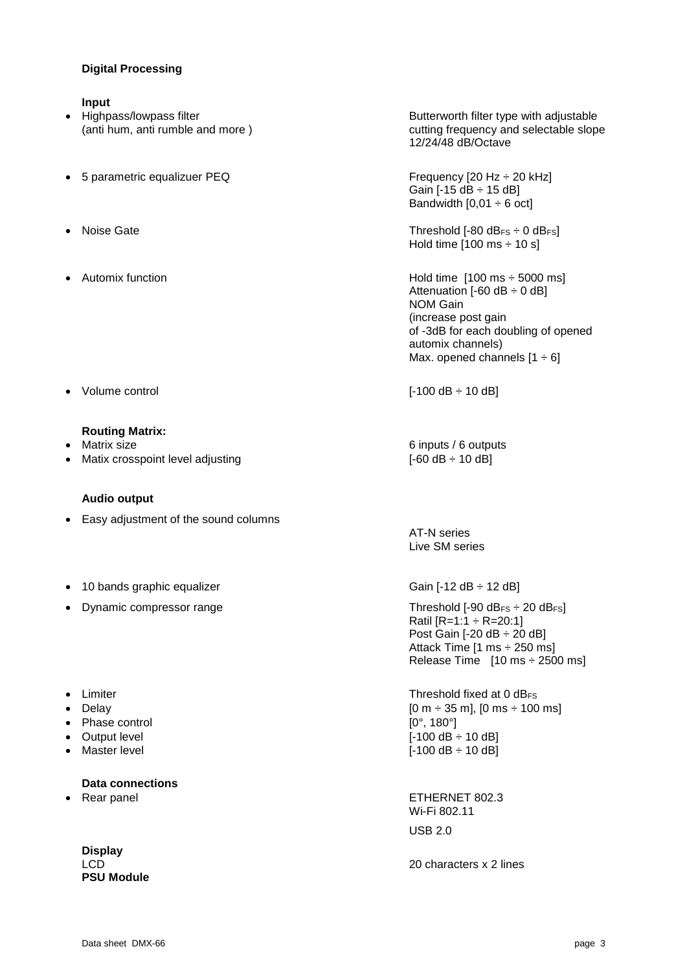#### **Digital Processing**

#### **Input**

- 
- 5 parametric equalizuer PEQ Frequency [20 Hz ÷ 20 kHz]
- 
- 

● Volume control [-100 dB ÷ 10 dB]

#### **Routing Matrix:**

- 
- Matix crosspoint level adjusting  $[ -60 dB \div 10 dB ]$

#### **Audio output**

- Easy adjustment of the sound columns
- 10 bands graphic equalizer  $\overline{G}$  Gain [-12 dB  $\div$  12 dB]
- Dynamic compressor range Threshold [-90 dB<sub>FS</sub> ÷ 20 dB<sub>FS</sub>]
- 
- 
- Phase control  $[0^\circ, 180^\circ]$
- 
- 

#### **Data connections**

**Display PSU Module**

• Highpass/lowpass filter **Butterworth filter type with adjustable** (anti hum, anti rumble and more ) cutting frequency and selectable slope 12/24/48 dB/Octave

> Gain  $[-15 dB + 15 dB]$ Bandwidth  $[0,01 \div 6$  oct]

Noise Gate Threshold [-80 dB<sub>FS</sub>  $\div$  0 dB<sub>FS</sub>] Hold time  $[100 \text{ ms} \div 10 \text{ s}]$ 

Automix function **Automix function Hold time [100 ms** ÷ 5000 ms] Attenuation  $[-60 \text{ dB} \div 0 \text{ dB}]$ NOM Gain (increase post gain of -3dB for each doubling of opened automix channels) Max. opened channels  $[1 \div 6]$ 

• Matrix size 6 inputs / 6 outputs 1

AT-N series Live SM series

Ratil  $[R=1:1 \div R=20:1]$ Post Gain [-20 dB ÷ 20 dB] Attack Time [1 ms ÷ 250 ms] Release Time [10 ms ÷ 2500 ms]

• Limiter **Threshold fixed at 0 dBFs**  Delay [0 m ÷ 35 m], [0 ms ÷ 100 ms] • Output level  $[-100 \text{ dB} \div 10 \text{ dB}]$ ● Master level **be a set of the set of the set of the set of the set of the set of the set of the set of the set of the set of the set of the set of the set of the set of the set of the set of the set of the set of the se** 

 Rear panel ETHERNET 802.3 Wi-Fi 802.11 USB 2.0

LCD 20 characters x 2 lines